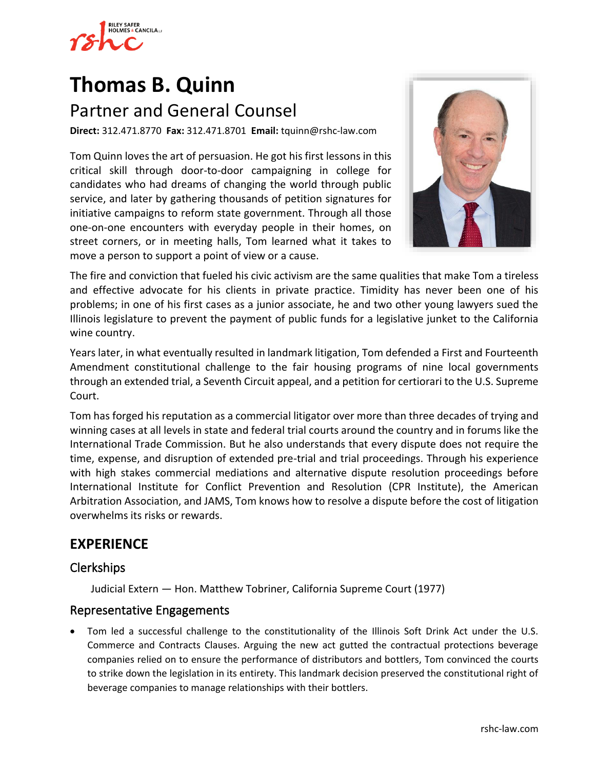

# **[Thomas B. Quinn](https://www.rshc-law.com/attorneys/attorney/thomas-b.-quinn)** Partner and General Counsel

**Direct:** 312.471.8770 **Fax:** 312.471.8701 **Email:** tquinn@rshc-law.com

Tom Quinn loves the art of persuasion. He got his first lessons in this critical skill through door-to-door campaigning in college for candidates who had dreams of changing the world through public service, and later by gathering thousands of petition signatures for initiative campaigns to reform state government. Through all those one-on-one encounters with everyday people in their homes, on street corners, or in meeting halls, Tom learned what it takes to move a person to support a point of view or a cause.



The fire and conviction that fueled his civic activism are the same qualities that make Tom a tireless and effective advocate for his clients in private practice. Timidity has never been one of his problems; in one of his first cases as a junior associate, he and two other young lawyers sued the Illinois legislature to prevent the payment of public funds for a legislative junket to the California wine country.

Years later, in what eventually resulted in landmark litigation, Tom defended a First and Fourteenth Amendment constitutional challenge to the fair housing programs of nine local governments through an extended trial, a Seventh Circuit appeal, and a petition for certiorari to the U.S. Supreme Court.

Tom has forged his reputation as a commercial litigator over more than three decades of trying and winning cases at all levels in state and federal trial courts around the country and in forums like the International Trade Commission. But he also understands that every dispute does not require the time, expense, and disruption of extended pre-trial and trial proceedings. Through his experience with high stakes commercial mediations and alternative dispute resolution proceedings before International Institute for Conflict Prevention and Resolution (CPR Institute), the American Arbitration Association, and JAMS, Tom knows how to resolve a dispute before the cost of litigation overwhelms its risks or rewards.

# **EXPERIENCE**

## Clerkships

Judicial Extern — Hon. Matthew Tobriner, California Supreme Court (1977)

#### Representative Engagements

• Tom led a successful challenge to the constitutionality of the Illinois Soft Drink Act under the U.S. Commerce and Contracts Clauses. Arguing the new act gutted the contractual protections beverage companies relied on to ensure the performance of distributors and bottlers, Tom convinced the courts to strike down the legislation in its entirety. This landmark decision preserved the constitutional right of beverage companies to manage relationships with their bottlers.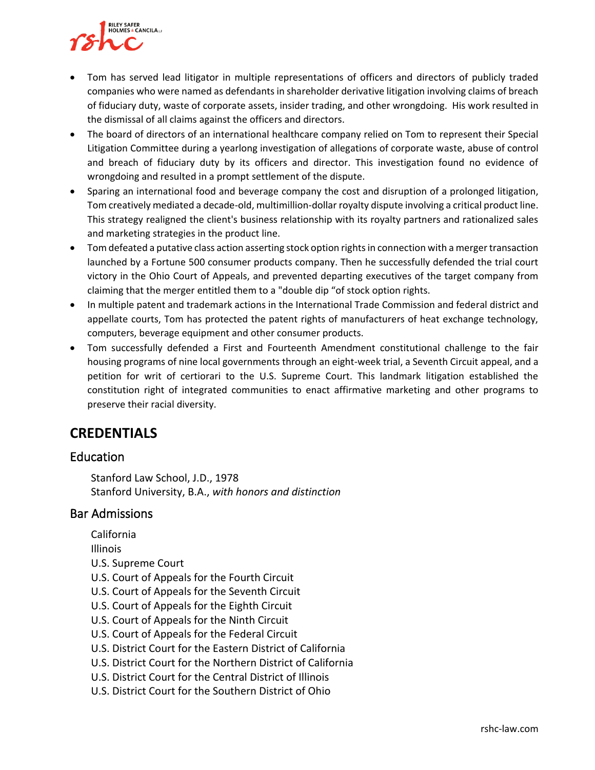

- Tom has served lead litigator in multiple representations of officers and directors of publicly traded companies who were named as defendants in shareholder derivative litigation involving claims of breach of fiduciary duty, waste of corporate assets, insider trading, and other wrongdoing. His work resulted in the dismissal of all claims against the officers and directors.
- The board of directors of an international healthcare company relied on Tom to represent their Special Litigation Committee during a yearlong investigation of allegations of corporate waste, abuse of control and breach of fiduciary duty by its officers and director. This investigation found no evidence of wrongdoing and resulted in a prompt settlement of the dispute.
- Sparing an international food and beverage company the cost and disruption of a prolonged litigation, Tom creatively mediated a decade-old, multimillion-dollar royalty dispute involving a critical product line. This strategy realigned the client's business relationship with its royalty partners and rationalized sales and marketing strategies in the product line.
- Tom defeated a putative class action asserting stock option rights in connection with a merger transaction launched by a Fortune 500 consumer products company. Then he successfully defended the trial court victory in the Ohio Court of Appeals, and prevented departing executives of the target company from claiming that the merger entitled them to a "double dip "of stock option rights.
- In multiple patent and trademark actions in the International Trade Commission and federal district and appellate courts, Tom has protected the patent rights of manufacturers of heat exchange technology, computers, beverage equipment and other consumer products.
- Tom successfully defended a First and Fourteenth Amendment constitutional challenge to the fair housing programs of nine local governments through an eight-week trial, a Seventh Circuit appeal, and a petition for writ of certiorari to the U.S. Supreme Court. This landmark litigation established the constitution right of integrated communities to enact affirmative marketing and other programs to preserve their racial diversity.

## **CREDENTIALS**

## Education

Stanford Law School, J.D., 1978 Stanford University, B.A., *with honors and distinction*

#### Bar Admissions

- California Illinois U.S. Supreme Court U.S. Court of Appeals for the Fourth Circuit U.S. Court of Appeals for the Seventh Circuit U.S. Court of Appeals for the Eighth Circuit U.S. Court of Appeals for the Ninth Circuit U.S. Court of Appeals for the Federal Circuit
- U.S. District Court for the Eastern District of California
- U.S. District Court for the Northern District of California
- U.S. District Court for the Central District of Illinois
- U.S. District Court for the Southern District of Ohio